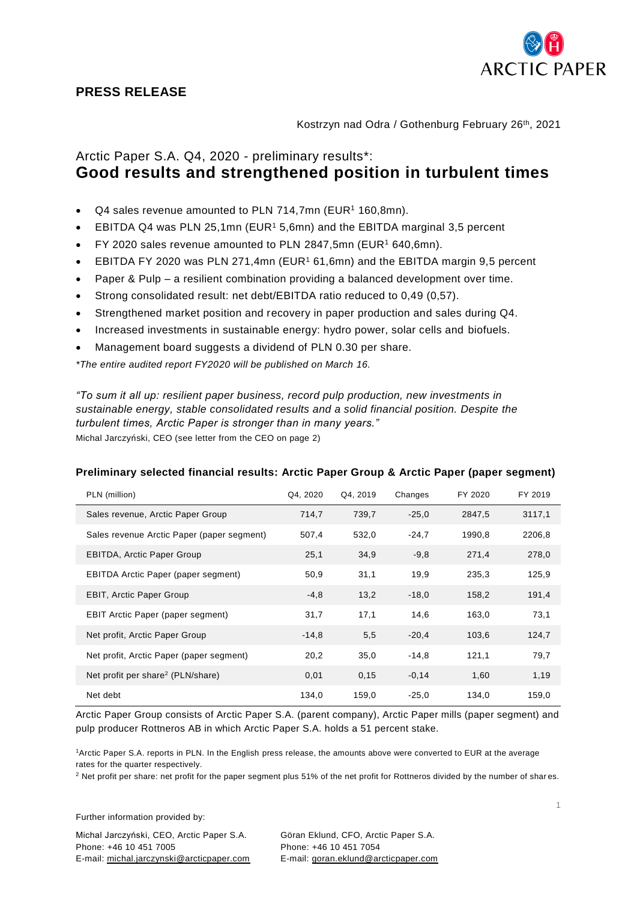

## **PRESS RELEASE**

Kostrzyn nad Odra / Gothenburg February 26<sup>th</sup>, 2021

# Arctic Paper S.A. Q4, 2020 - preliminary results\*: **Good results and strengthened position in turbulent times**

- Q4 sales revenue amounted to PLN 714,7mn (EUR<sup>1</sup> 160,8mn).
- EBITDA Q4 was PLN 25,1mn (EUR<sup>1</sup> 5,6mn) and the EBITDA marginal 3,5 percent
- FY 2020 sales revenue amounted to PLN 2847,5mn (EUR<sup>1</sup> 640,6mn).
- EBITDA FY 2020 was PLN 271,4mn (EUR<sup>1</sup> 61,6mn) and the EBITDA margin 9,5 percent
- Paper & Pulp a resilient combination providing a balanced development over time.
- Strong consolidated result: net debt/EBITDA ratio reduced to 0,49 (0,57).
- Strengthened market position and recovery in paper production and sales during Q4.
- Increased investments in sustainable energy: hydro power, solar cells and biofuels.
- Management board suggests a dividend of PLN 0.30 per share.

*\*The entire audited report FY2020 will be published on March 16.*

*"To sum it all up: resilient paper business, record pulp production, new investments in sustainable energy, stable consolidated results and a solid financial position. Despite the turbulent times, Arctic Paper is stronger than in many years."* Michal Jarczyński, CEO (see letter from the CEO on page 2)

## **Preliminary selected financial results: Arctic Paper Group & Arctic Paper (paper segment)**

| PLN (million)                                 | Q4, 2020 | Q4, 2019 | Changes | FY 2020 | FY 2019 |
|-----------------------------------------------|----------|----------|---------|---------|---------|
| Sales revenue, Arctic Paper Group             | 714,7    | 739,7    | $-25.0$ | 2847,5  | 3117,1  |
| Sales revenue Arctic Paper (paper segment)    | 507,4    | 532,0    | $-24.7$ | 1990,8  | 2206,8  |
| <b>EBITDA, Arctic Paper Group</b>             | 25,1     | 34,9     | $-9,8$  | 271,4   | 278,0   |
| EBITDA Arctic Paper (paper segment)           | 50,9     | 31,1     | 19,9    | 235,3   | 125,9   |
| <b>EBIT, Arctic Paper Group</b>               | $-4,8$   | 13,2     | $-18,0$ | 158,2   | 191,4   |
| <b>EBIT Arctic Paper (paper segment)</b>      | 31,7     | 17,1     | 14,6    | 163,0   | 73,1    |
| Net profit, Arctic Paper Group                | $-14,8$  | 5,5      | $-20,4$ | 103,6   | 124,7   |
| Net profit, Arctic Paper (paper segment)      | 20,2     | 35,0     | $-14.8$ | 121,1   | 79,7    |
| Net profit per share <sup>2</sup> (PLN/share) | 0,01     | 0, 15    | $-0,14$ | 1,60    | 1,19    |
| Net debt                                      | 134,0    | 159,0    | $-25,0$ | 134,0   | 159,0   |

Arctic Paper Group consists of Arctic Paper S.A. (parent company), Arctic Paper mills (paper segment) and pulp producer Rottneros AB in which Arctic Paper S.A. holds a 51 percent stake.

<sup>1</sup>Arctic Paper S.A. reports in PLN. In the English press release, the amounts above were converted to EUR at the average rates for the quarter respectively.

<sup>2</sup> Net profit per share: net profit for the paper segment plus 51% of the net profit for Rottneros divided by the number of shar es.

Further information provided by:

Michal Jarczyński, CEO, Arctic Paper S.A. Göran Eklund, CFO, Arctic Paper S.A. Phone: +46 10 451 7005 Phone: +46 10 451 7054 E-mail: michal.jarczynski@arcticpaper.com E-mail: [goran.eklund@arcticpaper.com](mailto:goran.eklund@arcticpaper.com)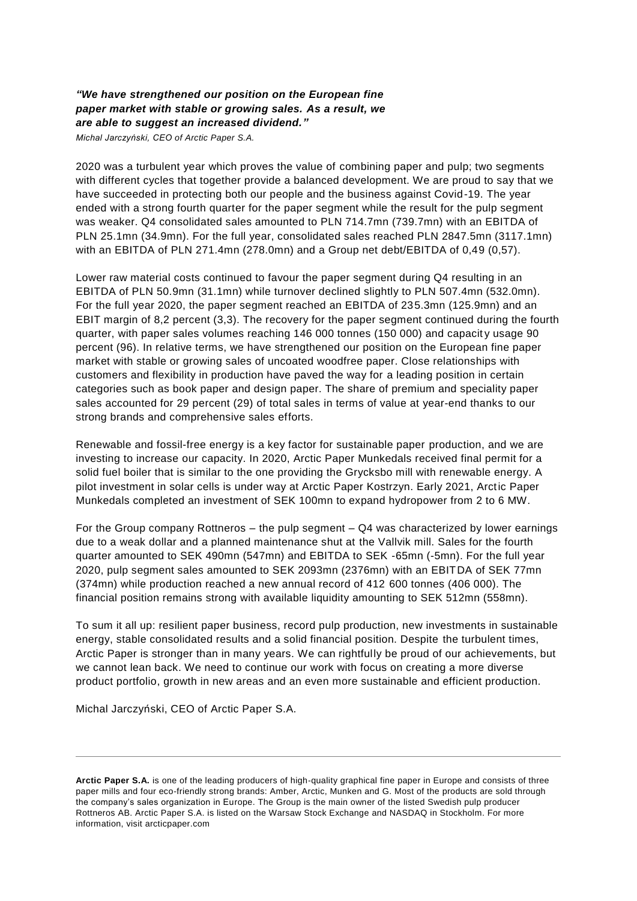## *"We have strengthened our position on the European fine paper market with stable or growing sales. As a result, we are able to suggest an increased dividend."*

*Michal Jarczyński, CEO of Arctic Paper S.A.*

2020 was a turbulent year which proves the value of combining paper and pulp; two segments with different cycles that together provide a balanced development. We are proud to say that we have succeeded in protecting both our people and the business against Covid-19. The year ended with a strong fourth quarter for the paper segment while the result for the pulp segment was weaker. Q4 consolidated sales amounted to PLN 714.7mn (739.7mn) with an EBITDA of PLN 25.1mn (34.9mn). For the full year, consolidated sales reached PLN 2847.5mn (3117.1mn) with an EBITDA of PLN 271.4mn (278.0mn) and a Group net debt/EBITDA of 0,49 (0,57).

Lower raw material costs continued to favour the paper segment during Q4 resulting in an EBITDA of PLN 50.9mn (31.1mn) while turnover declined slightly to PLN 507.4mn (532.0mn). For the full year 2020, the paper segment reached an EBITDA of 235.3mn (125.9mn) and an EBIT margin of 8,2 percent (3,3). The recovery for the paper segment continued during the fourth quarter, with paper sales volumes reaching 146 000 tonnes (150 000) and capacit y usage 90 percent (96). In relative terms, we have strengthened our position on the European fine paper market with stable or growing sales of uncoated woodfree paper. Close relationships with customers and flexibility in production have paved the way for a leading position in certain categories such as book paper and design paper. The share of premium and speciality paper sales accounted for 29 percent (29) of total sales in terms of value at year-end thanks to our strong brands and comprehensive sales efforts.

Renewable and fossil-free energy is a key factor for sustainable paper production, and we are investing to increase our capacity. In 2020, Arctic Paper Munkedals received final permit for a solid fuel boiler that is similar to the one providing the Grycksbo mill with renewable energy. A pilot investment in solar cells is under way at Arctic Paper Kostrzyn. Early 2021, Arctic Paper Munkedals completed an investment of SEK 100mn to expand hydropower from 2 to 6 MW.

For the Group company Rottneros – the pulp segment  $-$  Q4 was characterized by lower earnings due to a weak dollar and a planned maintenance shut at the Vallvik mill. Sales for the fourth quarter amounted to SEK 490mn (547mn) and EBITDA to SEK -65mn (-5mn). For the full year 2020, pulp segment sales amounted to SEK 2093mn (2376mn) with an EBITDA of SEK 77mn (374mn) while production reached a new annual record of 412 600 tonnes (406 000). The financial position remains strong with available liquidity amounting to SEK 512mn (558mn).

To sum it all up: resilient paper business, record pulp production, new investments in sustainable energy, stable consolidated results and a solid financial position. Despite the turbulent times, Arctic Paper is stronger than in many years. We can rightfully be proud of our achievements, but we cannot lean back. We need to continue our work with focus on creating a more diverse product portfolio, growth in new areas and an even more sustainable and efficient production.

Michal Jarczyński, CEO of Arctic Paper S.A.

**Arctic Paper S.A.** is one of the leading producers of high-quality graphical fine paper in Europe and consists of three paper mills and four eco-friendly strong brands: Amber, Arctic, Munken and G. Most of the products are sold through the company's sales organization in Europe. The Group is the main owner of the listed Swedish pulp producer Rottneros AB. Arctic Paper S.A. is listed on the Warsaw Stock Exchange and NASDAQ in Stockholm. For more information, visit arcticpaper.com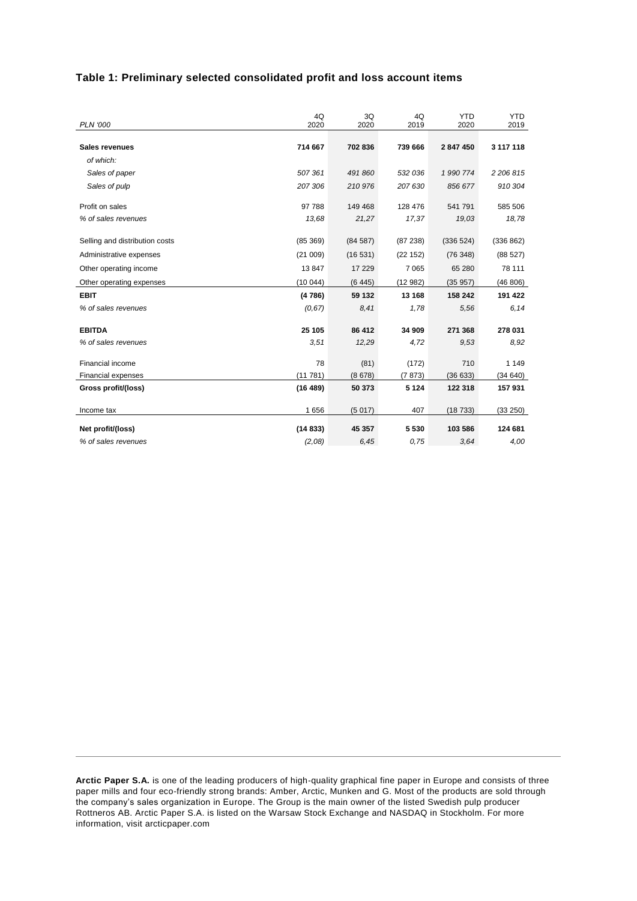## **Table 1: Preliminary selected consolidated profit and loss account items**

|                                | 4Q        | 3Q      | 4Q       | <b>YTD</b> | <b>YTD</b> |
|--------------------------------|-----------|---------|----------|------------|------------|
| <b>PLN '000</b>                | 2020      | 2020    | 2019     | 2020       | 2019       |
| <b>Sales revenues</b>          | 714 667   | 702 836 | 739 666  | 2847450    | 3 117 118  |
| of which:                      |           |         |          |            |            |
| Sales of paper                 | 507 361   | 491 860 | 532 036  | 1 990 774  | 2 206 815  |
| Sales of pulp                  | 207 306   | 210 976 | 207 630  | 856 677    | 910 304    |
| Profit on sales                | 97 788    | 149 468 | 128 476  | 541 791    | 585 506    |
| % of sales revenues            | 13,68     | 21,27   | 17,37    | 19,03      | 18,78      |
| Selling and distribution costs | (85, 369) | (84587) | (87 238) | (336 524)  | (336 862)  |
| Administrative expenses        | (21009)   | (16531) | (22 152) | (76348)    | (88527)    |
| Other operating income         | 13847     | 17 229  | 7 0 6 5  | 65 280     | 78 111     |
| Other operating expenses       | (10044)   | (6445)  | (12982)  | (35957)    | (46 806)   |
| <b>EBIT</b>                    | (4786)    | 59 132  | 13 168   | 158 242    | 191 422    |
| % of sales revenues            | (0, 67)   | 8,41    | 1,78     | 5,56       | 6,14       |
|                                |           |         |          |            |            |
| <b>EBITDA</b>                  | 25 105    | 86 412  | 34 909   | 271 368    | 278 031    |
| % of sales revenues            | 3,51      | 12,29   | 4,72     | 9,53       | 8,92       |
| Financial income               | 78        | (81)    | (172)    | 710        | 1 1 4 9    |
| <b>Financial expenses</b>      | (11781)   | (8678)  | (7873)   | (36633)    | (34640)    |
| Gross profit/(loss)            | (16 489)  | 50 373  | 5 1 2 4  | 122 318    | 157 931    |
| Income tax                     | 1656      | (5017)  | 407      | (18733)    | (33 250)   |
|                                |           |         |          |            |            |
| Net profit/(loss)              | (14833)   | 45 357  | 5530     | 103 586    | 124 681    |
| % of sales revenues            | (2,08)    | 6,45    | 0,75     | 3,64       | 4,00       |

**Arctic Paper S.A.** is one of the leading producers of high-quality graphical fine paper in Europe and consists of three paper mills and four eco-friendly strong brands: Amber, Arctic, Munken and G. Most of the products are sold through the company's sales organization in Europe. The Group is the main owner of the listed Swedish pulp producer Rottneros AB. Arctic Paper S.A. is listed on the Warsaw Stock Exchange and NASDAQ in Stockholm. For more information, visit arcticpaper.com